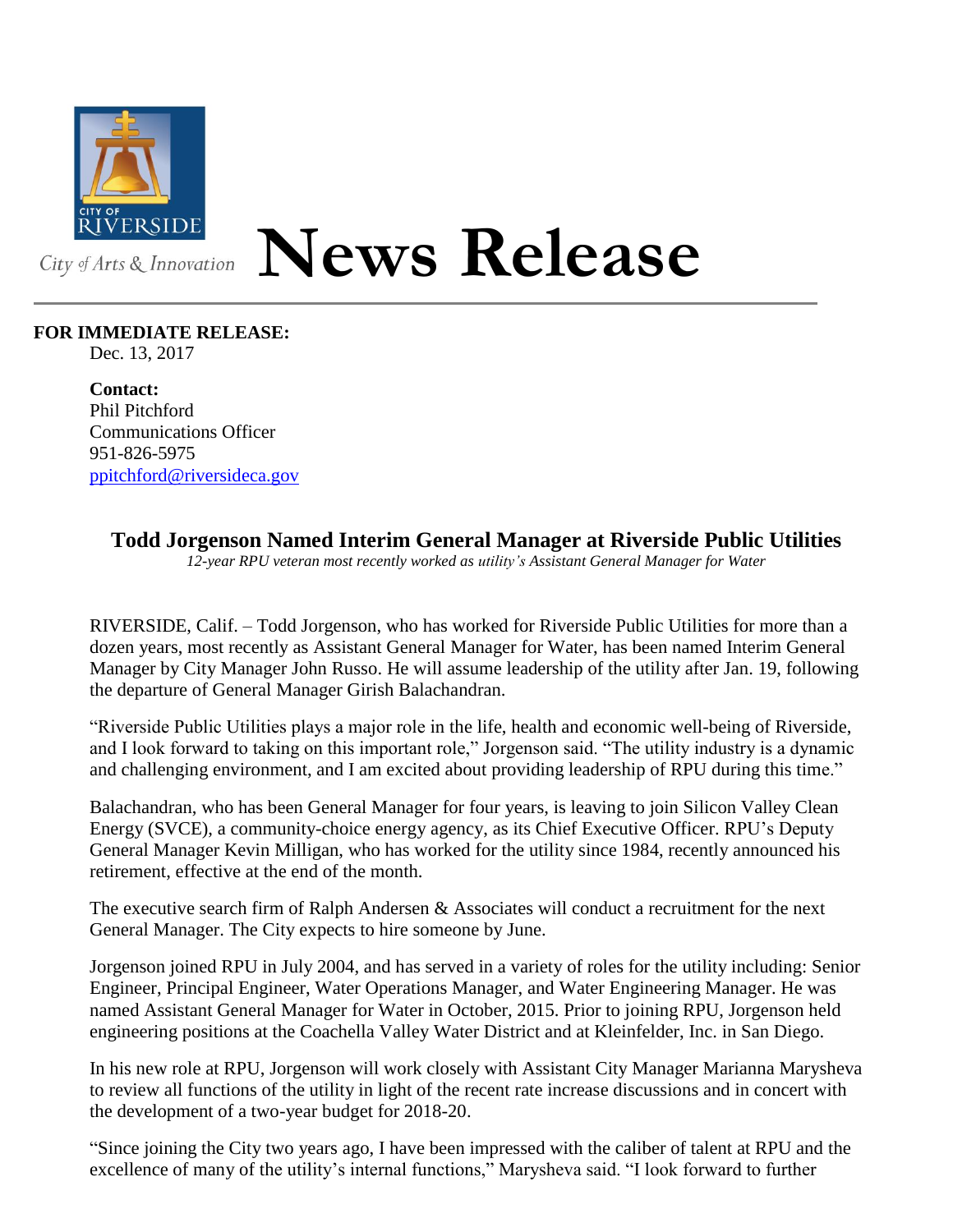

## **News Release**

## **FOR IMMEDIATE RELEASE:**

Dec. 13, 2017

**Contact:** Phil Pitchford Communications Officer 951-826-5975 [ppitchford@riversideca.gov](mailto:ppitchford@riversideca.gov)

**Todd Jorgenson Named Interim General Manager at Riverside Public Utilities**

*12-year RPU veteran most recently worked as utility's Assistant General Manager for Water*

RIVERSIDE, Calif. – Todd Jorgenson, who has worked for Riverside Public Utilities for more than a dozen years, most recently as Assistant General Manager for Water, has been named Interim General Manager by City Manager John Russo. He will assume leadership of the utility after Jan. 19, following the departure of General Manager Girish Balachandran.

"Riverside Public Utilities plays a major role in the life, health and economic well-being of Riverside, and I look forward to taking on this important role," Jorgenson said. "The utility industry is a dynamic and challenging environment, and I am excited about providing leadership of RPU during this time."

Balachandran, who has been General Manager for four years, is leaving to join Silicon Valley Clean Energy (SVCE), a community-choice energy agency, as its Chief Executive Officer. RPU's Deputy General Manager Kevin Milligan, who has worked for the utility since 1984, recently announced his retirement, effective at the end of the month.

The executive search firm of Ralph Andersen & Associates will conduct a recruitment for the next General Manager. The City expects to hire someone by June.

Jorgenson joined RPU in July 2004, and has served in a variety of roles for the utility including: Senior Engineer, Principal Engineer, Water Operations Manager, and Water Engineering Manager. He was named Assistant General Manager for Water in October, 2015. Prior to joining RPU, Jorgenson held engineering positions at the Coachella Valley Water District and at Kleinfelder, Inc. in San Diego.

In his new role at RPU, Jorgenson will work closely with Assistant City Manager Marianna Marysheva to review all functions of the utility in light of the recent rate increase discussions and in concert with the development of a two-year budget for 2018-20.

"Since joining the City two years ago, I have been impressed with the caliber of talent at RPU and the excellence of many of the utility's internal functions," Marysheva said. "I look forward to further